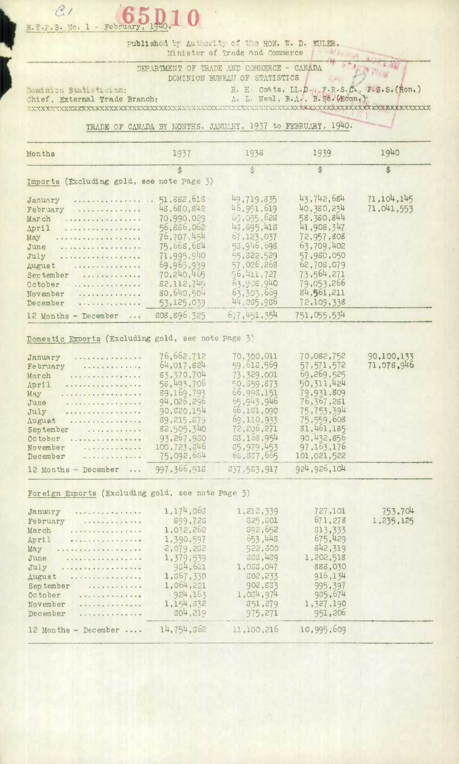published by Authority of the HON. W. D. EULER. Minister of Trade and Commerce

DEPARTMENT OF TRADE AND COMMERCE - CANADA DOMINION BUREAU OF STATISTICS

Dominion Statistician: Chief, External Trade Branch:

E. T.P.B. No. 1 - February, 1940.10

 $C.1$ 

**PARK** R. H. Coats, LL.D., F.R.S.C., F.S.S. (Hon.)<br>A. L. Neal, B.A., B.S. (Econ.)

 $\begin{array}{c|c} \hline \multicolumn{3}{c}{} & \multicolumn{3}{c}{} & \multicolumn{3}{c}{} & \multicolumn{3}{c}{} & \multicolumn{3}{c}{} & \multicolumn{3}{c}{} & \multicolumn{3}{c}{} & \multicolumn{3}{c}{} & \multicolumn{3}{c}{} & \multicolumn{3}{c}{} & \multicolumn{3}{c}{} & \multicolumn{3}{c}{} & \multicolumn{3}{c}{} & \multicolumn{3}{c}{} & \multicolumn{3}{c}{} & \multicolumn{3}{c}{} & \multicolumn{3}{c}{} & \multicolumn{3}{c}{} & \multicolumn{3}{c}{}$ 

TRADE OF CANADA BY MONTHS, JANUARY, 1937 to FEBRUARY, 1940.

| Months                                             | 1937                     | 1938                       | 1939                       | 1940                     |
|----------------------------------------------------|--------------------------|----------------------------|----------------------------|--------------------------|
|                                                    | \$                       | \$                         | \$                         | $\ddot{s}$               |
| Imports (Excluding gold, see note Page 3)          |                          |                            |                            |                          |
| January<br>.                                       | 51,882,618               | 49,719,835                 | 43,742,684                 | 71,104,145               |
| February<br>.                                      | 48,680,842               | 46, 951, 619               | 40,380,234                 | 71,041,553               |
| March<br>.                                         | 70,990,029               | 05,055,628                 | 58,380,844                 |                          |
| April<br>.                                         | 56,886,062               | 43, 595, 418               | 41,908,347                 |                          |
| May<br>.                                           | 76,707,454               | 67, 123, 037               | 72,957,808                 |                          |
| June<br>.                                          | 75,668,684               | 53,946,698                 | 63,709,402                 |                          |
| July<br>.                                          | 71,995,940               | 55, 322, 529               | 57,980,050                 |                          |
| August<br>.                                        | 69,965,939               | 57,026,268                 | 62,708,079                 |                          |
| September<br>. <b>.</b>                            | 70,240,465               | 56,411,727                 | 73,564,271                 |                          |
| October<br>.                                       | 82, 112, 749             | 63,908,940                 | 79,053,266                 |                          |
| November<br>.                                      | 80, 640, 504             | 63,303,669                 | 84,561,211                 |                          |
| December<br>.                                      | 53,125,039               | 44, 285, 986               | 72,109,338                 |                          |
| 12 Months - December<br>$\sim$                     | 808,896.325              | 6,7,451,354                | 751,055,534                |                          |
|                                                    |                          |                            |                            |                          |
| Domestic Exports (Excluding gold, see note page 3) |                          |                            |                            |                          |
|                                                    |                          |                            |                            |                          |
| January<br>. <i>.</i> .                            | 76,662,712<br>64,017,824 | 70,300,011                 | 70,082,752                 | 90.100.133<br>71.078.946 |
| February<br>.                                      |                          | 59, 618, 569               | 57, 571, 572<br>69,269,525 |                          |
| March<br>.                                         | 83,370,704<br>58,493,706 | 73,329,001<br>50, 559, 873 | 50, 311, 424               |                          |
| .<br>April                                         | 89,169,793               | 66,998,151                 | 79,931,809                 |                          |
| May<br>. <i>.</i>                                  | 94,026,296               | 65,943,946                 | 76,367,281                 |                          |
| June<br>.<br>. <i>. .</i>                          | 90,820,154               | 66,181,090                 | 75,753,394                 |                          |
| July<br>August<br>.                                | 39,215,879               | 69,110,933                 | 75,559,608                 |                          |
| September<br>.                                     | 82,505,340               | 72,206,271                 | 81,461,185                 |                          |
| October<br>.                                       | 93,267,980               | 53, 153, 954               | 90,432,856                 |                          |
| November<br>.                                      | 100,723,846              | 85,979,453                 | 97, 163, 176               |                          |
| December<br>. <i>.</i> .                           | 75,092,684               | 68,837,665                 | 101,021,522                |                          |
| 12 Months - December<br>$\frac{1}{2}$              | 997,366,918              | 837,583,917                | 924,926,104                |                          |
|                                                    |                          |                            |                            |                          |
| Foreign Exports (Excluding gold, see note Page 3)  |                          |                            |                            |                          |
| January<br><b><i>AAAAAAAAAAAAA</i></b>             | 1,174,063                | 1,212,339                  | 727,101                    | 753.704                  |
| February<br>.                                      | 899,728                  | 325,801                    | 671,278                    | 1,235,125                |
| March<br>.                                         | 1,032,262                | 392,652                    | 813,333                    |                          |
| April<br><b><i><u><i><u></u></i></u></i></b>       | 1,390,597                | 653,448                    | 675,429                    |                          |
| May<br>.                                           | 2,079,282                | 922,300                    | 842,319                    |                          |
| June<br>.                                          | 1,379,539                | 388,489                    | 1,202,518                  |                          |
| July<br>.                                          | 984,621                  | 1,058,047                  | 888,030                    |                          |
| August<br>.                                        | 1,867,330                | <b>802,233</b>             | 916,134                    |                          |
| September<br>.                                     | 1,064,221                | 902,833                    | 995,397                    |                          |
| October<br>.                                       | 924,163                  | 1,034,974                  | 935,674                    |                          |
| November<br>.                                      | 1,154,832                | 851,279                    | 1,327,190                  |                          |
| December<br>.                                      | 804,219                  | 975,271                    | 951,206                    |                          |
| 12 Months - December                               | 14,754,362               | 11,100,216                 | 10,995,609                 |                          |
|                                                    |                          |                            |                            |                          |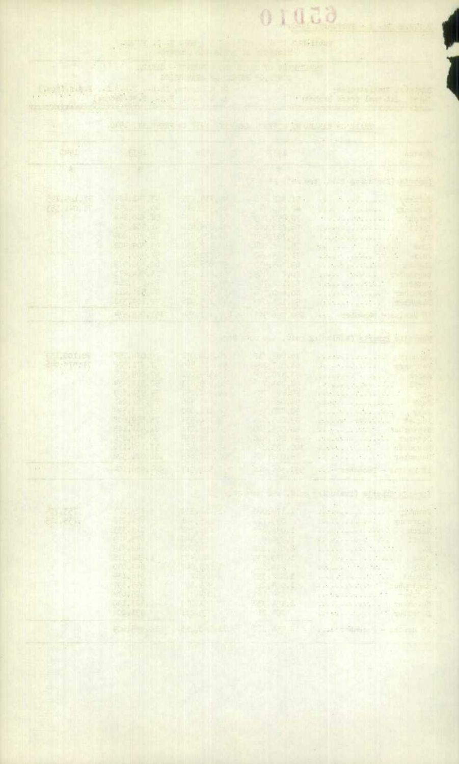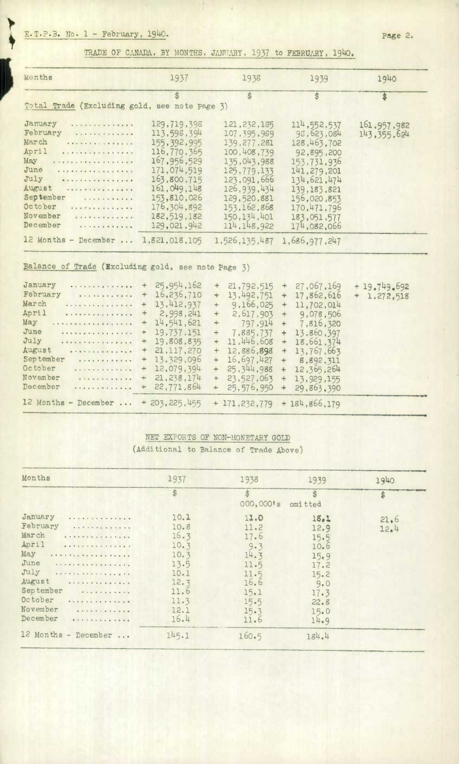## E.T.P.B. No. 1 - February, 1940.

TRADE OF CANADA, BY MONTHS, JANUARY, 1937 to FEBRUARY, 1940.

| Months                                                                                                                                                                             | 1937                                                                                                                                                                                 | 1938                                                                                                                                                                                             | 1939                                                                                                                                                                                 | 1940                           |
|------------------------------------------------------------------------------------------------------------------------------------------------------------------------------------|--------------------------------------------------------------------------------------------------------------------------------------------------------------------------------------|--------------------------------------------------------------------------------------------------------------------------------------------------------------------------------------------------|--------------------------------------------------------------------------------------------------------------------------------------------------------------------------------------|--------------------------------|
|                                                                                                                                                                                    | $\ddot{s}$                                                                                                                                                                           | $\frac{1}{3}$                                                                                                                                                                                    | $\dot{s}$                                                                                                                                                                            | \$                             |
| Total Trade (Excluding gold, see note page 3)                                                                                                                                      |                                                                                                                                                                                      |                                                                                                                                                                                                  |                                                                                                                                                                                      |                                |
| January<br>February<br>March<br>April<br>$.$<br>May<br>.<br>June<br>.<br>July<br><b></b><br>August<br>September<br><br>October<br>. <i>.</i><br>November<br>. <i>.</i><br>December | 129, 719, 398<br>113,598,394<br>155, 392, 995<br>116,770.365<br>167,956,529<br>171,074,519<br>163,800,715<br>161,049,148<br>153,810,026<br>176,304,892<br>182,519,182<br>129,021,942 | 121, 232, 185<br>107, 395, 989<br>139, 277, 281<br>100, 408, 739<br>135,043,988<br>125,779,133<br>123,091,666<br>126, 939, 434<br>129,520,881<br>153, 162, 868<br>150, 134, 401<br>114, 148, 922 | 114,552,537<br>93, 623, 084<br>128,463,702<br>92,895,200<br>153, 731, 936<br>141,279,201<br>134,621,474<br>139, 183, 821<br>156,020,853<br>170,471,796<br>183,051,577<br>174,082,066 | 161, 957, 982<br>143, 355, 624 |
| 12 Months - December  1,821,018,105                                                                                                                                                |                                                                                                                                                                                      | 1,526,135,487 1,686,977,247                                                                                                                                                                      |                                                                                                                                                                                      |                                |
| Balance of Trade (Excluding gold, see note Page 3)                                                                                                                                 |                                                                                                                                                                                      |                                                                                                                                                                                                  |                                                                                                                                                                                      |                                |
| $\cdots \cdots \cdots \cdots \cdots$ + 25,954,162<br>January                                                                                                                       |                                                                                                                                                                                      |                                                                                                                                                                                                  | $+ 21,792,515 + 27,067,169 + 19,749,692$                                                                                                                                             |                                |

|  |                                                                                                                                                                                                                                                |                                                                         |  |                                                                                                                                                                                                                                                                                                               | $-7$ $-7$ $-7$ $-7$                                                                                              |
|--|------------------------------------------------------------------------------------------------------------------------------------------------------------------------------------------------------------------------------------------------|-------------------------------------------------------------------------|--|---------------------------------------------------------------------------------------------------------------------------------------------------------------------------------------------------------------------------------------------------------------------------------------------------------------|------------------------------------------------------------------------------------------------------------------|
|  |                                                                                                                                                                                                                                                |                                                                         |  |                                                                                                                                                                                                                                                                                                               |                                                                                                                  |
|  |                                                                                                                                                                                                                                                |                                                                         |  |                                                                                                                                                                                                                                                                                                               |                                                                                                                  |
|  |                                                                                                                                                                                                                                                |                                                                         |  |                                                                                                                                                                                                                                                                                                               |                                                                                                                  |
|  |                                                                                                                                                                                                                                                |                                                                         |  |                                                                                                                                                                                                                                                                                                               |                                                                                                                  |
|  |                                                                                                                                                                                                                                                |                                                                         |  |                                                                                                                                                                                                                                                                                                               |                                                                                                                  |
|  |                                                                                                                                                                                                                                                |                                                                         |  |                                                                                                                                                                                                                                                                                                               |                                                                                                                  |
|  |                                                                                                                                                                                                                                                |                                                                         |  |                                                                                                                                                                                                                                                                                                               |                                                                                                                  |
|  |                                                                                                                                                                                                                                                |                                                                         |  |                                                                                                                                                                                                                                                                                                               |                                                                                                                  |
|  |                                                                                                                                                                                                                                                |                                                                         |  |                                                                                                                                                                                                                                                                                                               |                                                                                                                  |
|  |                                                                                                                                                                                                                                                |                                                                         |  |                                                                                                                                                                                                                                                                                                               |                                                                                                                  |
|  |                                                                                                                                                                                                                                                |                                                                         |  |                                                                                                                                                                                                                                                                                                               |                                                                                                                  |
|  |                                                                                                                                                                                                                                                |                                                                         |  |                                                                                                                                                                                                                                                                                                               |                                                                                                                  |
|  | February  + 16,236,710<br>May  + 14,541,621<br>$\cdots$ + 19,737,151<br>July  + 19,808,835<br>August  + 21,117,270<br>September  + 13,329,096<br>October  + 12,079,394<br>$\cdots \cdots \cdots \cdots + 21,238,174$<br>December  + 22,771,864 | March  + 13,412,937<br>$\cdots \cdots \cdots \cdots \cdots + 2,998,241$ |  | $+$ 9,166,025 + 11,702,014<br>$+ 2,617,903 + 9,078,506$<br>$+ 797,914 + 7,816,320$<br>$+ 7,885,737 + 13,860,397$<br>$+ 11,446,608 + 18,661,374$<br>$+ 12,886,898 + 13,767,663$<br>$+ 16,697,427 + 8,892,311$<br>$+ 25.344.988 + 12.365.264$<br>$+ 23,527,063 + 13,929,155$<br>$+ 25, 576, 950 + 29, 863, 390$ | $+ 13,492,751 + 17,862,616 + 1,272,518$<br>12 Months - December  + 203, 225, 455 + 171, 232, 779 + 184, 866, 179 |

## NET EXPORTS OF NON-MONETARY GOLD (Additional to Balance of Trade Above)

| Months                                                                                                                           | 1937                                                                                         | 1938                                                                                              | 1939                                                                                        | 1940         |
|----------------------------------------------------------------------------------------------------------------------------------|----------------------------------------------------------------------------------------------|---------------------------------------------------------------------------------------------------|---------------------------------------------------------------------------------------------|--------------|
|                                                                                                                                  | $\frac{1}{2}$                                                                                | $\frac{1}{2}$<br>000,000's                                                                        | $\ddot{s}$<br>omitted                                                                       | \$           |
| January<br>.<br>February<br>March<br>April<br>May<br>June<br>.<br>July<br>August<br>September<br>October<br>November<br>December | 10.1<br>10.8<br>16.3<br>10.3<br>10.3<br>13.5<br>10.1<br>12.3<br>11.6<br>11.3<br>12.1<br>16.4 | 11.0<br>11.2<br>17.6<br>$9 - 3$<br>14.3<br>11.5<br>11.5<br>16.6<br>15.1<br>15.5<br>$15-3$<br>11.6 | 18.1<br>12.9<br>15.5<br>10.6<br>15.9<br>17.2<br>15.2<br>9.0<br>17.3<br>22.8<br>15.0<br>14.9 | 21.6<br>12.4 |
| 12 Months - December                                                                                                             | 145.1                                                                                        | 160.5                                                                                             | 184.4                                                                                       |              |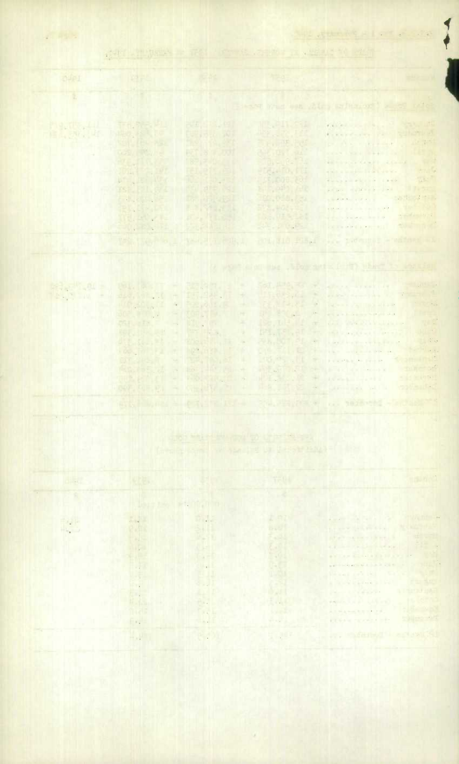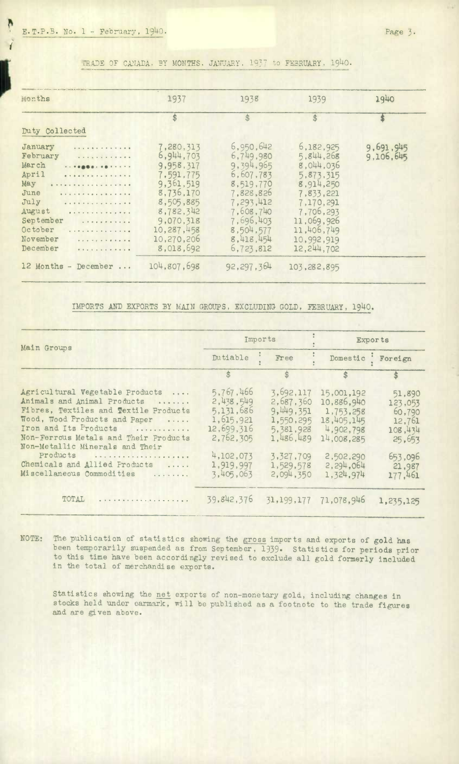| Months                                                                                                                                                                                                                                                     | 1937                                                                                                                                                       | 1938                                                                                                                                                       | 1939                                                                                                                                                           | 1940                   |  |
|------------------------------------------------------------------------------------------------------------------------------------------------------------------------------------------------------------------------------------------------------------|------------------------------------------------------------------------------------------------------------------------------------------------------------|------------------------------------------------------------------------------------------------------------------------------------------------------------|----------------------------------------------------------------------------------------------------------------------------------------------------------------|------------------------|--|
|                                                                                                                                                                                                                                                            | $\dot{s}$                                                                                                                                                  | $\dot{\mathbb{S}}$                                                                                                                                         | $\frac{4}{3}$                                                                                                                                                  |                        |  |
| Duty Collected                                                                                                                                                                                                                                             |                                                                                                                                                            |                                                                                                                                                            |                                                                                                                                                                |                        |  |
| January<br>. <i>.</i> .<br>February<br>.<br>March<br>$\cdots\cdots\cdots\cdots\cdots\cdots\cdots$<br>April<br>.<br>May<br>.<br>June<br><b><i>A</i></b><br>July<br>.<br>August<br>.<br>September<br>October<br>.<br>November<br>. <b>.</b><br>December<br>. | 7,280,313<br>6,944,703<br>9,958,317<br>7,591,775<br>9,361,519<br>8,736,170<br>8,505,885<br>8,782,342<br>9,070,318<br>10,287,458<br>10,270,206<br>8,018,692 | 6,950,642<br>6,749,980<br>9, 394, 965<br>6,607,783<br>8,519,770<br>7,828,826<br>7,293,412<br>7,608,740<br>7,696,403<br>8,504,577<br>8,418,454<br>6,723,812 | 6,182,925<br>5,844,268<br>8,044,036<br>5,873,315<br>8,914,250<br>7,833,221<br>7,170,291<br>7,706,293<br>11,069,926<br>11,406,749<br>10,992,919<br>12, 244, 702 | 9.691.945<br>9,106,645 |  |
| 12 Months - December                                                                                                                                                                                                                                       | 104,807,698                                                                                                                                                | 92,297,364                                                                                                                                                 | 103,282,895                                                                                                                                                    |                        |  |
|                                                                                                                                                                                                                                                            |                                                                                                                                                            |                                                                                                                                                            |                                                                                                                                                                |                        |  |

TRADE OF CANADA. BY MONTHS, JANUARY, 1937 to FEBRUARY. 1940.

IMPORTS AND EXPORTS BY MAIN GROUPS, EXCLUDING GOLD, FEBRUARY, 1940.

| Main Groups                                                                                                                                                                                                                                               |                                                                                            | Imports                                                                                   | Exports                                                                                     |                                                                       |  |
|-----------------------------------------------------------------------------------------------------------------------------------------------------------------------------------------------------------------------------------------------------------|--------------------------------------------------------------------------------------------|-------------------------------------------------------------------------------------------|---------------------------------------------------------------------------------------------|-----------------------------------------------------------------------|--|
|                                                                                                                                                                                                                                                           | Dutiable                                                                                   | Free                                                                                      | Domestic                                                                                    | Foreign                                                               |  |
|                                                                                                                                                                                                                                                           | \$                                                                                         | \$                                                                                        | $\frac{1}{2}$                                                                               | $\dot{s}$                                                             |  |
| Agricultural Vegetable Products<br>Animals and Animal Products<br>Fibres, Textiles and Textile Products<br>Wood, Wood Products and Paper<br>Iron and Its Products<br>Non-Ferrous Metals and Their Products<br>Non-Metallic Minerals and Their<br>Products | 5,767,466<br>2,438,549<br>5,131,686<br>1, 615, 921<br>12,699,316<br>2,762,305<br>4,102,073 | 3,692,117<br>2,687,360<br>9, 449, 351<br>1,550,295<br>5,381,928<br>1,486,489<br>3,327,709 | 15,001,192<br>10,886,940<br>1,753,258<br>18,405,145<br>4,902,798<br>14,008,285<br>2,502,290 | 51,890<br>123,053<br>60,790<br>12,761<br>108,434<br>25,653<br>653,096 |  |
| Chemicals and Allied Products<br>Miscellaneous Commodities                                                                                                                                                                                                | 1,919,997<br>3,405,063                                                                     | 1,529,578<br>2,094,350                                                                    | 2,294,064<br>1,324,974                                                                      | 21,987<br>177,461                                                     |  |
| TOTAL                                                                                                                                                                                                                                                     | 39.842,376                                                                                 | 31, 199, 177 71, 078, 946                                                                 |                                                                                             | 1,235,125                                                             |  |

NOTE: The publication of statistics showing the gross imports and exports of gold has been temporarily suspended as from September, 1939. Statistics for periods prior to this time have been accordingly revised to exclude all gold formerly included in the total of merchandise exports.

Statistics showing the net exports of non-monetary gold, including changes in stocks held under earmark, will be published as a footnote to the trade figures and are given above.